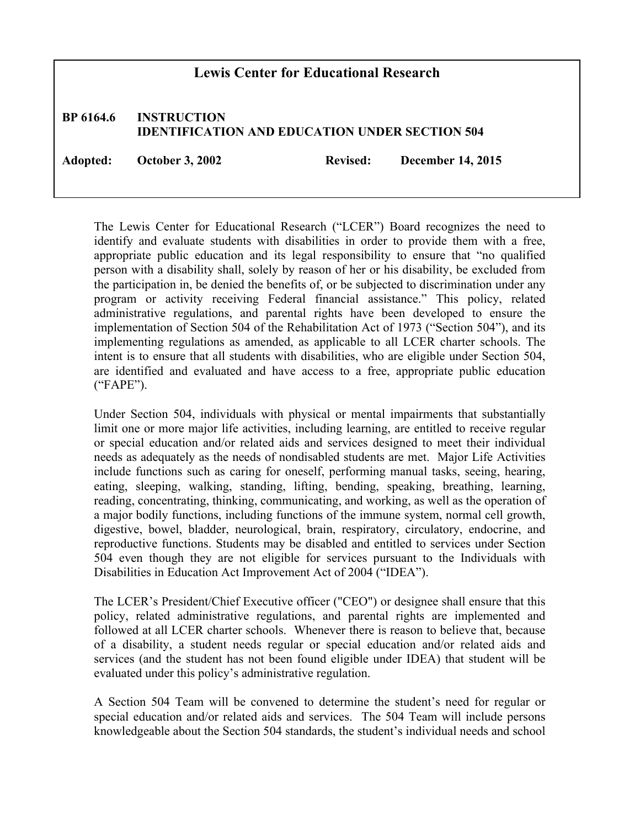## **Lewis Center for Educational Research**

## **BP 6164.6 INSTRUCTION IDENTIFICATION AND EDUCATION UNDER SECTION 504**

**Adopted: October 3, 2002 Revised: December 14, 2015**

The Lewis Center for Educational Research ("LCER") Board recognizes the need to identify and evaluate students with disabilities in order to provide them with a free, appropriate public education and its legal responsibility to ensure that "no qualified person with a disability shall, solely by reason of her or his disability, be excluded from the participation in, be denied the benefits of, or be subjected to discrimination under any program or activity receiving Federal financial assistance." This policy, related administrative regulations, and parental rights have been developed to ensure the implementation of Section 504 of the Rehabilitation Act of 1973 ("Section 504"), and its implementing regulations as amended, as applicable to all LCER charter schools. The intent is to ensure that all students with disabilities, who are eligible under Section 504, are identified and evaluated and have access to a free, appropriate public education ("FAPE").

Under Section 504, individuals with physical or mental impairments that substantially limit one or more major life activities, including learning, are entitled to receive regular or special education and/or related aids and services designed to meet their individual needs as adequately as the needs of nondisabled students are met. Major Life Activities include functions such as caring for oneself, performing manual tasks, seeing, hearing, eating, sleeping, walking, standing, lifting, bending, speaking, breathing, learning, reading, concentrating, thinking, communicating, and working, as well as the operation of a major bodily functions, including functions of the immune system, normal cell growth, digestive, bowel, bladder, neurological, brain, respiratory, circulatory, endocrine, and reproductive functions. Students may be disabled and entitled to services under Section 504 even though they are not eligible for services pursuant to the Individuals with Disabilities in Education Act Improvement Act of 2004 ("IDEA").

The LCER's President/Chief Executive officer ("CEO") or designee shall ensure that this policy, related administrative regulations, and parental rights are implemented and followed at all LCER charter schools. Whenever there is reason to believe that, because of a disability, a student needs regular or special education and/or related aids and services (and the student has not been found eligible under IDEA) that student will be evaluated under this policy's administrative regulation.

A Section 504 Team will be convened to determine the student's need for regular or special education and/or related aids and services. The 504 Team will include persons knowledgeable about the Section 504 standards, the student's individual needs and school